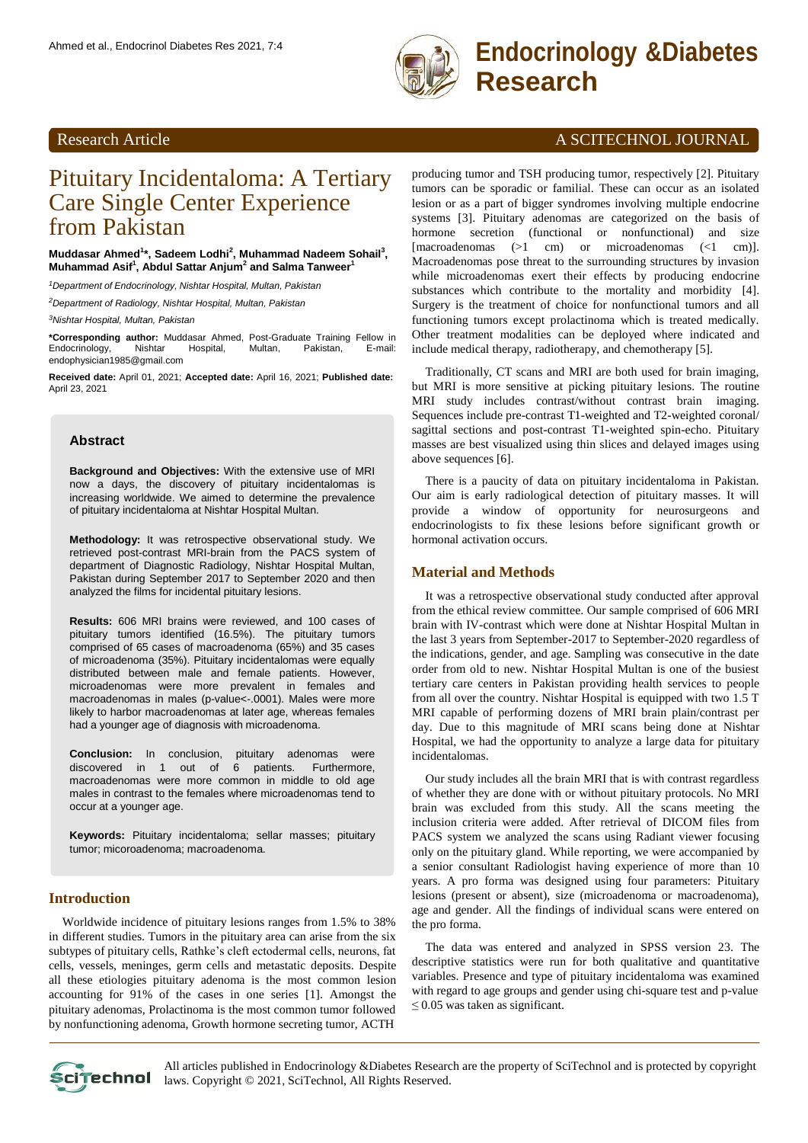

# Ahmed et al., Endocrinol Diabetes Res 2021, 7:4 **Endocrinology &Diabetes Research**

### Research Article A SCITECHNOL JOURNAL

## Pituitary Incidentaloma: A Tertiary Care Single Center Experience from Pakistan

**Muddasar Ahmed<sup>1</sup> \*, Sadeem Lodhi<sup>2</sup> , Muhammad Nadeem Sohail<sup>3</sup> , Muhammad Asif<sup>1</sup> , Abdul Sattar Anjum<sup>2</sup> and Salma Tanweer<sup>1</sup>**

*<sup>1</sup>Department of Endocrinology, Nishtar Hospital, Multan, Pakistan*

*<sup>2</sup>Department of Radiology, Nishtar Hospital, Multan, Pakistan*

*<sup>3</sup>Nishtar Hospital, Multan, Pakistan*

**\*Corresponding author:** Muddasar Ahmed, Post-Graduate Training Fellow in Endocrinology, [endophysician1985@gmail.com](mailto:endophysician1985@gmail.com)

**Received date:** April 01, 2021; **Accepted date:** April 16, 2021; **Published date:** April 23, 2021

#### **Abstract**

**Background and Objectives:** With the extensive use of MRI now a days, the discovery of pituitary incidentalomas is increasing worldwide. We aimed to determine the prevalence of pituitary incidentaloma at Nishtar Hospital Multan.

**Methodology:** It was retrospective observational study. We retrieved post-contrast MRI-brain from the PACS system of department of Diagnostic Radiology, Nishtar Hospital Multan, Pakistan during September 2017 to September 2020 and then analyzed the films for incidental pituitary lesions.

**Results:** 606 MRI brains were reviewed, and 100 cases of pituitary tumors identified (16.5%). The pituitary tumors comprised of 65 cases of macroadenoma (65%) and 35 cases of microadenoma (35%). Pituitary incidentalomas were equally distributed between male and female patients. However, microadenomas were more prevalent in females and macroadenomas in males (p-value<-.0001). Males were more likely to harbor macroadenomas at later age, whereas females had a younger age of diagnosis with microadenoma.

**Conclusion:** In conclusion, pituitary adenomas were discovered in 1 out of 6 patients. Furthermore, macroadenomas were more common in middle to old age males in contrast to the females where microadenomas tend to occur at a younger age.

**Keywords:** Pituitary incidentaloma; sellar masses; pituitary tumor; micoroadenoma; macroadenoma.

#### **Introduction**

Worldwide incidence of pituitary lesions ranges from 1.5% to 38% in different studies. Tumors in the pituitary area can arise from the six subtypes of pituitary cells, Rathke's cleft ectodermal cells, neurons, fat cells, vessels, meninges, germ cells and metastatic deposits. Despite all these etiologies pituitary adenoma is the most common lesion accounting for 91% of the cases in one series [1]. Amongst the pituitary adenomas, Prolactinoma is the most common tumor followed by nonfunctioning adenoma, Growth hormone secreting tumor, ACTH

producing tumor and TSH producing tumor, respectively [2]. Pituitary tumors can be sporadic or familial. These can occur as an isolated lesion or as a part of bigger syndromes involving multiple endocrine systems [3]. Pituitary adenomas are categorized on the basis of hormone secretion (functional or nonfunctional) and size [macroadenomas (>1 cm) or microadenomas (<1 cm)]. Macroadenomas pose threat to the surrounding structures by invasion while microadenomas exert their effects by producing endocrine substances which contribute to the mortality and morbidity [4]. Surgery is the treatment of choice for nonfunctional tumors and all functioning tumors except prolactinoma which is treated medically. Other treatment modalities can be deployed where indicated and include medical therapy, radiotherapy, and chemotherapy [5].

Traditionally, CT scans and MRI are both used for brain imaging, but MRI is more sensitive at picking pituitary lesions. The routine MRI study includes contrast/without contrast brain imaging. Sequences include pre-contrast T1-weighted and T2-weighted coronal/ sagittal sections and post-contrast T1-weighted spin-echo. Pituitary masses are best visualized using thin slices and delayed images using above sequences [6].

There is a paucity of data on pituitary incidentaloma in Pakistan. Our aim is early radiological detection of pituitary masses. It will provide a window of opportunity for neurosurgeons and endocrinologists to fix these lesions before significant growth or hormonal activation occurs.

#### **Material and Methods**

It was a retrospective observational study conducted after approval from the ethical review committee. Our sample comprised of 606 MRI brain with IV-contrast which were done at Nishtar Hospital Multan in the last 3 years from September-2017 to September-2020 regardless of the indications, gender, and age. Sampling was consecutive in the date order from old to new. Nishtar Hospital Multan is one of the busiest tertiary care centers in Pakistan providing health services to people from all over the country. Nishtar Hospital is equipped with two 1.5 T MRI capable of performing dozens of MRI brain plain/contrast per day. Due to this magnitude of MRI scans being done at Nishtar Hospital, we had the opportunity to analyze a large data for pituitary incidentalomas.

Our study includes all the brain MRI that is with contrast regardless of whether they are done with or without pituitary protocols. No MRI brain was excluded from this study. All the scans meeting the inclusion criteria were added. After retrieval of DICOM files from PACS system we analyzed the scans using Radiant viewer focusing only on the pituitary gland. While reporting, we were accompanied by a senior consultant Radiologist having experience of more than 10 years. A pro forma was designed using four parameters: Pituitary lesions (present or absent), size (microadenoma or macroadenoma), age and gender. All the findings of individual scans were entered on the pro forma.

The data was entered and analyzed in SPSS version 23. The descriptive statistics were run for both qualitative and quantitative variables. Presence and type of pituitary incidentaloma was examined with regard to age groups and gender using chi-square test and p-value  $\leq$  0.05 was taken as significant.



All articles published in Endocrinology &Diabetes Research are the property of SciTechnol and is protected by copyright laws. Copyright © 2021, SciTechnol, All Rights Reserved.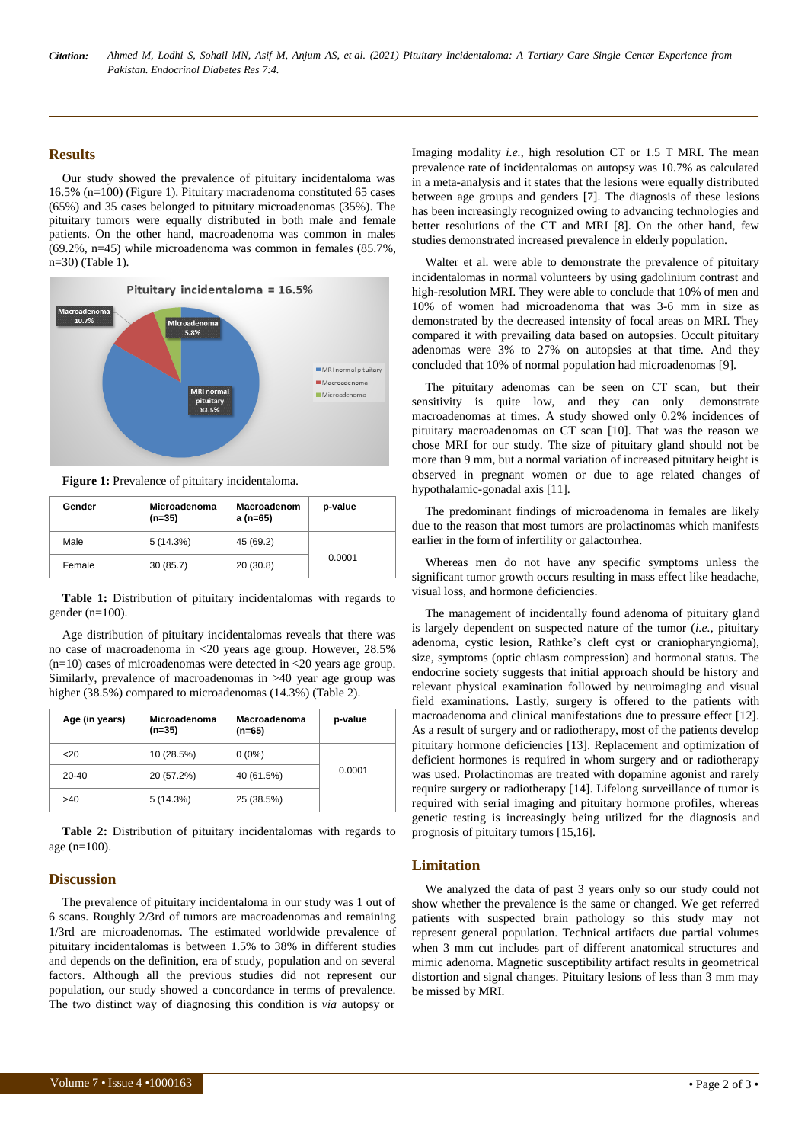#### **Results**

Our study showed the prevalence of pituitary incidentaloma was 16.5% (n=100) (Figure 1). Pituitary macradenoma constituted 65 cases (65%) and 35 cases belonged to pituitary microadenomas (35%). The pituitary tumors were equally distributed in both male and female patients. On the other hand, macroadenoma was common in males (69.2%, n=45) while microadenoma was common in females (85.7%, n=30) (Table 1).



**Figure 1:** Prevalence of pituitary incidentaloma.

| Gender | Microadenoma<br>$(n=35)$ | <b>Macroadenom</b><br>a (n=65) | p-value |
|--------|--------------------------|--------------------------------|---------|
| Male   | 5(14.3%)                 | 45 (69.2)                      |         |
| Female | 30(85.7)                 | 20(30.8)                       | 0.0001  |

**Table 1:** Distribution of pituitary incidentalomas with regards to gender (n=100).

Age distribution of pituitary incidentalomas reveals that there was no case of macroadenoma in <20 years age group. However, 28.5%  $(n=10)$  cases of microadenomas were detected in  $\langle 20 \rangle$  years age group. Similarly, prevalence of macroadenomas in >40 year age group was higher (38.5%) compared to microadenomas (14.3%) (Table 2).

| Age (in years)  | Microadenoma<br>(n=35) | Macroadenoma<br>$(n=65)$ | p-value |
|-----------------|------------------------|--------------------------|---------|
| 20 <sub>2</sub> | 10 (28.5%)             | $0(0\%)$                 |         |
| $20 - 40$       | 20 (57.2%)             | 40 (61.5%)               | 0.0001  |
| >40             | 5(14.3%)               | 25 (38.5%)               |         |

**Table 2:** Distribution of pituitary incidentalomas with regards to age (n=100).

#### **Discussion**

The prevalence of pituitary incidentaloma in our study was 1 out of 6 scans. Roughly 2/3rd of tumors are macroadenomas and remaining 1/3rd are microadenomas. The estimated worldwide prevalence of pituitary incidentalomas is between 1.5% to 38% in different studies and depends on the definition, era of study, population and on several factors. Although all the previous studies did not represent our population, our study showed a concordance in terms of prevalence. The two distinct way of diagnosing this condition is *via* autopsy or

Imaging modality *i.e.*, high resolution CT or 1.5 T MRI. The mean prevalence rate of incidentalomas on autopsy was 10.7% as calculated in a meta-analysis and it states that the lesions were equally distributed between age groups and genders [7]. The diagnosis of these lesions has been increasingly recognized owing to advancing technologies and better resolutions of the CT and MRI [8]. On the other hand, few studies demonstrated increased prevalence in elderly population.

Walter et al. were able to demonstrate the prevalence of pituitary incidentalomas in normal volunteers by using gadolinium contrast and high-resolution MRI. They were able to conclude that 10% of men and 10% of women had microadenoma that was 3-6 mm in size as demonstrated by the decreased intensity of focal areas on MRI. They compared it with prevailing data based on autopsies. Occult pituitary adenomas were 3% to 27% on autopsies at that time. And they concluded that 10% of normal population had microadenomas [9].

The pituitary adenomas can be seen on CT scan, but their sensitivity is quite low, and they can only demonstrate macroadenomas at times. A study showed only 0.2% incidences of pituitary macroadenomas on CT scan [10]. That was the reason we chose MRI for our study. The size of pituitary gland should not be more than 9 mm, but a normal variation of increased pituitary height is observed in pregnant women or due to age related changes of hypothalamic-gonadal axis [11].

The predominant findings of microadenoma in females are likely due to the reason that most tumors are prolactinomas which manifests earlier in the form of infertility or galactorrhea.

Whereas men do not have any specific symptoms unless the significant tumor growth occurs resulting in mass effect like headache, visual loss, and hormone deficiencies.

The management of incidentally found adenoma of pituitary gland is largely dependent on suspected nature of the tumor (*i.e.*, pituitary adenoma, cystic lesion, Rathke's cleft cyst or craniopharyngioma), size, symptoms (optic chiasm compression) and hormonal status. The endocrine society suggests that initial approach should be history and relevant physical examination followed by neuroimaging and visual field examinations. Lastly, surgery is offered to the patients with macroadenoma and clinical manifestations due to pressure effect [12]. As a result of surgery and or radiotherapy, most of the patients develop pituitary hormone deficiencies [13]. Replacement and optimization of deficient hormones is required in whom surgery and or radiotherapy was used. Prolactinomas are treated with dopamine agonist and rarely require surgery or radiotherapy [14]. Lifelong surveillance of tumor is required with serial imaging and pituitary hormone profiles, whereas genetic testing is increasingly being utilized for the diagnosis and prognosis of pituitary tumors [15,16].

#### **Limitation**

We analyzed the data of past 3 years only so our study could not show whether the prevalence is the same or changed. We get referred patients with suspected brain pathology so this study may not represent general population. Technical artifacts due partial volumes when 3 mm cut includes part of different anatomical structures and mimic adenoma. Magnetic susceptibility artifact results in geometrical distortion and signal changes. Pituitary lesions of less than 3 mm may be missed by MRI.